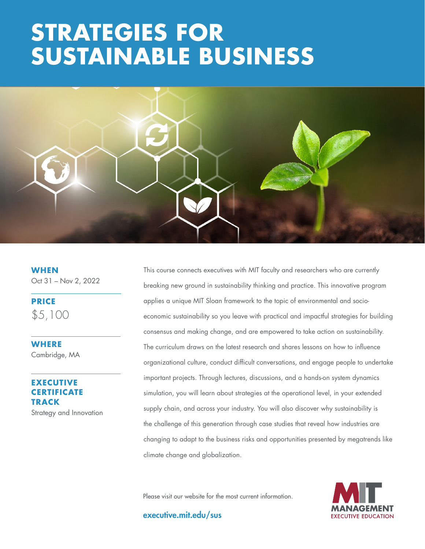# **THE BUSINESS STRATEGY: STRATEGIES FOR SUSTAINABLE BUSINESS**



**WHEN** Oct 31 – Nov 2, 2022

**PRICE** \$5,100

**WHERE** Cambridge, MA

# **ECUTIVE CERTIFICATE TRACK**

Strategy and Innovation

This course connects executives with MIT faculty and researchers who are currently breaking new ground in sustainability thinking and practice. This innovative program applies a unique MIT Sloan framework to the topic of environmental and socioeconomic sustainability so you leave with practical and impactful strategies for building consensus and making change, and are empowered to take action on sustainability. The curriculum draws on the latest research and shares lessons on how to influence organizational culture, conduct difficult conversations, and engage people to undertake important projects. Through lectures, discussions, and a hands-on system dynamics simulation, you will learn about strategies at the operational level, in your extended supply chain, and across your industry. You will also discover why sustainability is the challenge of this generation through case studies that reveal how industries are changing to adapt to the business risks and opportunities presented by megatrends like climate change and globalization.

Please visit our website for the most current information.

executive.mit.edu/sus